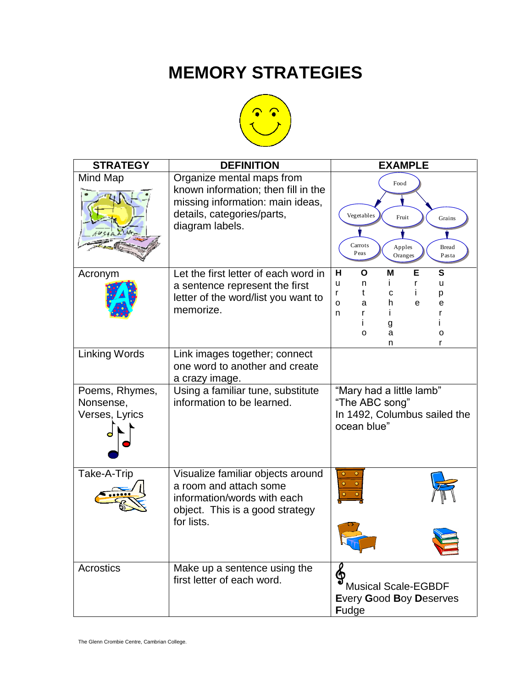## **MEMORY STRATEGIES**



| <b>STRATEGY</b>                               | <b>DEFINITION</b>                                                                                                                                     | <b>EXAMPLE</b>                                                                                                             |
|-----------------------------------------------|-------------------------------------------------------------------------------------------------------------------------------------------------------|----------------------------------------------------------------------------------------------------------------------------|
| Mind Map                                      | Organize mental maps from<br>known information; then fill in the<br>missing information: main ideas,<br>details, categories/parts,<br>diagram labels. | Food<br>Vegetables<br>Fruit<br>Grains<br>Carrots<br><b>Bread</b><br>Apples<br>Peas<br>Oranges<br>Pasta                     |
| Acronym                                       | Let the first letter of each word in<br>a sentence represent the first<br>letter of the word/list you want to<br>memorize.                            | н<br>M<br>Е<br>S<br>Ο<br>u<br>Ť.<br>r<br>n<br>u<br>t<br>с<br>r<br>р<br>h<br>O<br>a<br>e<br>е<br>n<br>g<br>a<br>0<br>o<br>n |
| <b>Linking Words</b>                          | Link images together; connect<br>one word to another and create<br>a crazy image.                                                                     |                                                                                                                            |
| Poems, Rhymes,<br>Nonsense,<br>Verses, Lyrics | Using a familiar tune, substitute<br>information to be learned.                                                                                       | "Mary had a little lamb"<br>"The ABC song"<br>In 1492, Columbus sailed the<br>ocean blue"                                  |
| Take-A-Trip                                   | Visualize familiar objects around<br>a room and attach some<br>information/words with each<br>object. This is a good strategy<br>for lists.           |                                                                                                                            |
| Acrostics                                     | Make up a sentence using the<br>first letter of each word.                                                                                            | ∲<br><b>Musical Scale-EGBDF</b><br><b>Every Good Boy Deserves</b><br><b>Fudge</b>                                          |